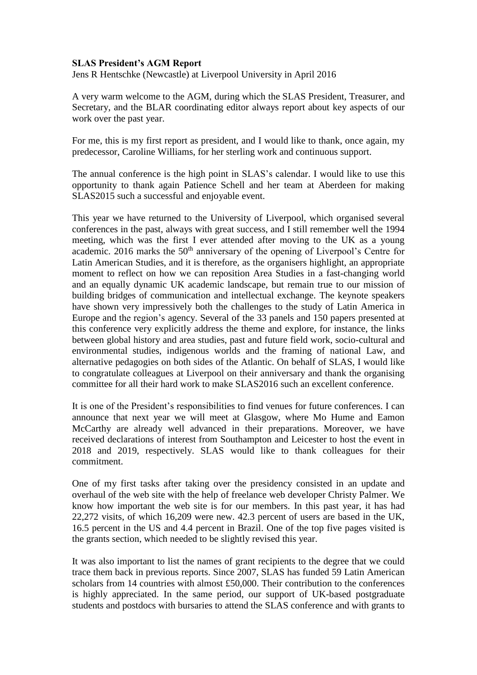## **SLAS President's AGM Report**

Jens R Hentschke (Newcastle) at Liverpool University in April 2016

A very warm welcome to the AGM, during which the SLAS President, Treasurer, and Secretary, and the BLAR coordinating editor always report about key aspects of our work over the past year.

For me, this is my first report as president, and I would like to thank, once again, my predecessor, Caroline Williams, for her sterling work and continuous support.

The annual conference is the high point in SLAS's calendar. I would like to use this opportunity to thank again Patience Schell and her team at Aberdeen for making SLAS2015 such a successful and enjoyable event.

This year we have returned to the University of Liverpool, which organised several conferences in the past, always with great success, and I still remember well the 1994 meeting, which was the first I ever attended after moving to the UK as a young academic. 2016 marks the  $50<sup>th</sup>$  anniversary of the opening of Liverpool's Centre for Latin American Studies, and it is therefore, as the organisers highlight, an appropriate moment to reflect on how we can reposition Area Studies in a fast-changing world and an equally dynamic UK academic landscape, but remain true to our mission of building bridges of communication and intellectual exchange. The keynote speakers have shown very impressively both the challenges to the study of Latin America in Europe and the region's agency. Several of the 33 panels and 150 papers presented at this conference very explicitly address the theme and explore, for instance, the links between global history and area studies, past and future field work, socio-cultural and environmental studies, indigenous worlds and the framing of national Law, and alternative pedagogies on both sides of the Atlantic. On behalf of SLAS, I would like to congratulate colleagues at Liverpool on their anniversary and thank the organising committee for all their hard work to make SLAS2016 such an excellent conference.

It is one of the President's responsibilities to find venues for future conferences. I can announce that next year we will meet at Glasgow, where Mo Hume and Eamon McCarthy are already well advanced in their preparations. Moreover, we have received declarations of interest from Southampton and Leicester to host the event in 2018 and 2019, respectively. SLAS would like to thank colleagues for their commitment.

One of my first tasks after taking over the presidency consisted in an update and overhaul of the web site with the help of freelance web developer Christy Palmer. We know how important the web site is for our members. In this past year, it has had 22,272 visits, of which 16,209 were new. 42.3 percent of users are based in the UK, 16.5 percent in the US and 4.4 percent in Brazil. One of the top five pages visited is the grants section, which needed to be slightly revised this year.

It was also important to list the names of grant recipients to the degree that we could trace them back in previous reports. Since 2007, SLAS has funded 59 Latin American scholars from 14 countries with almost £50,000. Their contribution to the conferences is highly appreciated. In the same period, our support of UK-based postgraduate students and postdocs with bursaries to attend the SLAS conference and with grants to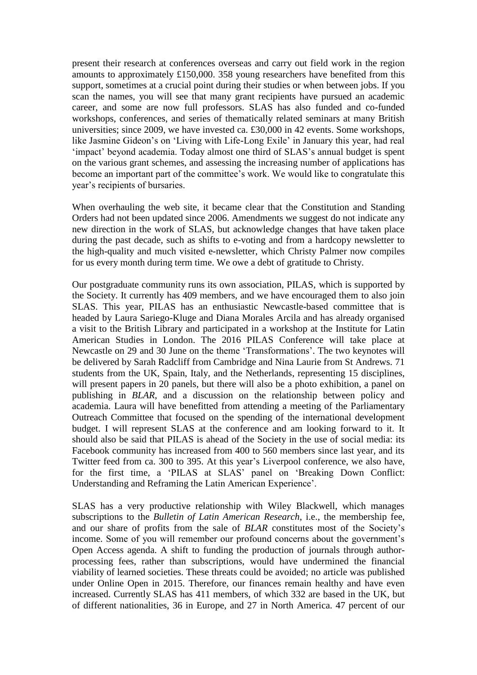present their research at conferences overseas and carry out field work in the region amounts to approximately £150,000. 358 young researchers have benefited from this support, sometimes at a crucial point during their studies or when between jobs. If you scan the names, you will see that many grant recipients have pursued an academic career, and some are now full professors. SLAS has also funded and co-funded workshops, conferences, and series of thematically related seminars at many British universities; since 2009, we have invested ca. £30,000 in 42 events. Some workshops, like Jasmine Gideon's on 'Living with Life-Long Exile' in January this year, had real 'impact' beyond academia. Today almost one third of SLAS's annual budget is spent on the various grant schemes, and assessing the increasing number of applications has become an important part of the committee's work. We would like to congratulate this year's recipients of bursaries.

When overhauling the web site, it became clear that the Constitution and Standing Orders had not been updated since 2006. Amendments we suggest do not indicate any new direction in the work of SLAS, but acknowledge changes that have taken place during the past decade, such as shifts to e-voting and from a hardcopy newsletter to the high-quality and much visited e-newsletter, which Christy Palmer now compiles for us every month during term time. We owe a debt of gratitude to Christy.

Our postgraduate community runs its own association, PILAS, which is supported by the Society. It currently has 409 members, and we have encouraged them to also join SLAS. This year, PILAS has an enthusiastic Newcastle-based committee that is headed by Laura Sariego-Kluge and Diana Morales Arcila and has already organised a visit to the British Library and participated in a workshop at the Institute for Latin American Studies in London. The 2016 PILAS Conference will take place at Newcastle on 29 and 30 June on the theme 'Transformations'. The two keynotes will be delivered by Sarah Radcliff from Cambridge and Nina Laurie from St Andrews. 71 students from the UK, Spain, Italy, and the Netherlands, representing 15 disciplines, will present papers in 20 panels, but there will also be a photo exhibition, a panel on publishing in *BLAR*, and a discussion on the relationship between policy and academia. Laura will have benefitted from attending a meeting of the Parliamentary Outreach Committee that focused on the spending of the international development budget. I will represent SLAS at the conference and am looking forward to it. It should also be said that PILAS is ahead of the Society in the use of social media: its Facebook community has increased from 400 to 560 members since last year, and its Twitter feed from ca. 300 to 395. At this year's Liverpool conference, we also have, for the first time, a 'PILAS at SLAS' panel on 'Breaking Down Conflict: Understanding and Reframing the Latin American Experience'.

SLAS has a very productive relationship with Wiley Blackwell, which manages subscriptions to the *Bulletin of Latin American Research*, i.e., the membership fee, and our share of profits from the sale of *BLAR* constitutes most of the Society's income. Some of you will remember our profound concerns about the government's Open Access agenda. A shift to funding the production of journals through authorprocessing fees, rather than subscriptions, would have undermined the financial viability of learned societies. These threats could be avoided; no article was published under Online Open in 2015. Therefore, our finances remain healthy and have even increased. Currently SLAS has 411 members, of which 332 are based in the UK, but of different nationalities, 36 in Europe, and 27 in North America. 47 percent of our